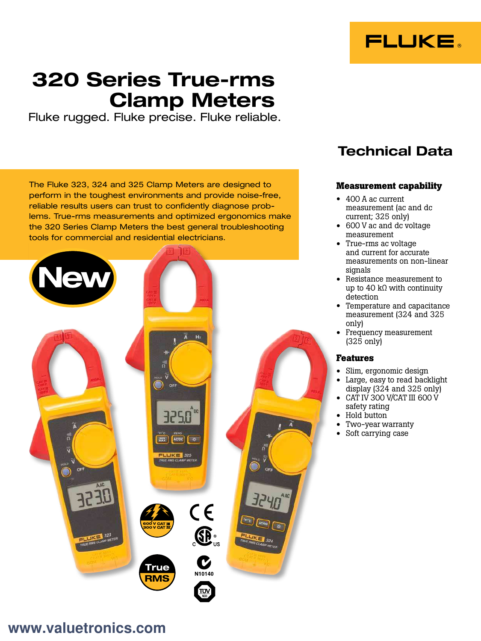

# 320 Series True-rms Clamp Meters

Fluke rugged. Fluke precise. Fluke reliable.

The Fluke 323, 324 and 325 Clamp Meters are designed to perform in the toughest environments and provide noise-free, reliable results users can trust to confidently diagnose problems. True-rms measurements and optimized ergonomics make the 320 Series Clamp Meters the best general troubleshooting tools for commercial and residential electricians.



# Technical Data

# **Measurement capability**

- 400 A ac current measurement (ac and dc current; 325 only)
- 600 V ac and dc voltage measurement
- True-rms ac voltage and current for accurate measurements on non-linear signals
- Resistance measurement to up to 40 k $\Omega$  with continuity detection
- Temperature and capacitance measurement (324 and 325 only)
- Frequency measurement (325 only)

## **Features**

- Slim, ergonomic design
- Large, easy to read backlight display (324 and 325 only)
- CAT IV 300 V/CAT III 600 V safety rating
- Hold button
- Two-year warranty
- Soft carrying case

# **[www.valuetronics.com](https://www.valuetronics.com/)**